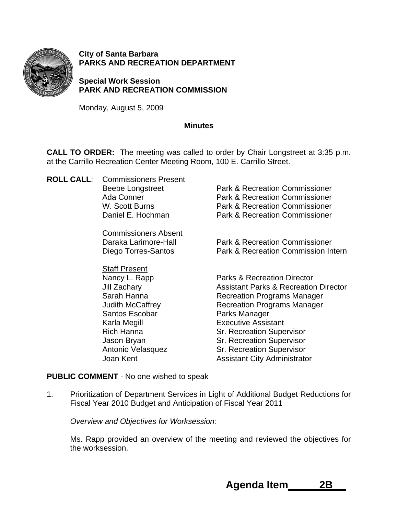

**City of Santa Barbara PARKS AND RECREATION DEPARTMENT** 

**Special Work Session PARK AND RECREATION COMMISSION** 

Monday, August 5, 2009

### **Minutes**

**CALL TO ORDER:** The meeting was called to order by Chair Longstreet at 3:35 p.m. at the Carrillo Recreation Center Meeting Room, 100 E. Carrillo Street.

**ROLL CALL**: Commissioners Present

Commissioners Absent

 Staff Present Santos Escobar Parks Manager

Beebe Longstreet **Park & Recreation Commissioner**  Ada Conner Park & Recreation Commissioner W. Scott Burns **Park & Recreation Commissioner** Daniel E. Hochman Park & Recreation Commissioner

 Daraka Larimore-Hall Park & Recreation Commissioner Diego Torres-Santos Park & Recreation Commission Intern

Nancy L. Rapp Parks & Recreation Director Jill Zachary Assistant Parks & Recreation Director Sarah Hanna **Recreation Programs Manager** Judith McCaffrey **Recreation Programs Manager**  Karla Megill Executive Assistant Rich Hanna Sr. Recreation Supervisor Jason Bryan Supervisor Sr. Recreation Supervisor Antonio Velasquez Sr. Recreation Supervisor Joan Kent **Assistant City Administrator** Assistant City Administrator

**PUBLIC COMMENT** - No one wished to speak

1. Prioritization of Department Services in Light of Additional Budget Reductions for Fiscal Year 2010 Budget and Anticipation of Fiscal Year 2011

*Overview and Objectives for Worksession:* 

Ms. Rapp provided an overview of the meeting and reviewed the objectives for the worksession.

 **Agenda Item 2B**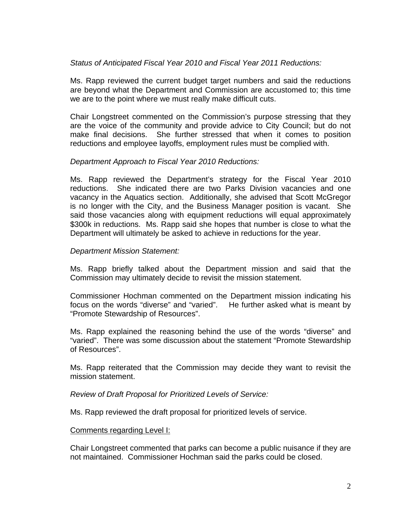## *Status of Anticipated Fiscal Year 2010 and Fiscal Year 2011 Reductions:*

Ms. Rapp reviewed the current budget target numbers and said the reductions are beyond what the Department and Commission are accustomed to; this time we are to the point where we must really make difficult cuts.

Chair Longstreet commented on the Commission's purpose stressing that they are the voice of the community and provide advice to City Council; but do not make final decisions. She further stressed that when it comes to position reductions and employee layoffs, employment rules must be complied with.

## *Department Approach to Fiscal Year 2010 Reductions:*

Ms. Rapp reviewed the Department's strategy for the Fiscal Year 2010 reductions. She indicated there are two Parks Division vacancies and one vacancy in the Aquatics section. Additionally, she advised that Scott McGregor is no longer with the City, and the Business Manager position is vacant. She said those vacancies along with equipment reductions will equal approximately \$300k in reductions. Ms. Rapp said she hopes that number is close to what the Department will ultimately be asked to achieve in reductions for the year.

## *Department Mission Statement:*

Ms. Rapp briefly talked about the Department mission and said that the Commission may ultimately decide to revisit the mission statement.

Commissioner Hochman commented on the Department mission indicating his focus on the words "diverse" and "varied". He further asked what is meant by "Promote Stewardship of Resources".

Ms. Rapp explained the reasoning behind the use of the words "diverse" and "varied". There was some discussion about the statement "Promote Stewardship of Resources".

Ms. Rapp reiterated that the Commission may decide they want to revisit the mission statement.

*Review of Draft Proposal for Prioritized Levels of Service:* 

Ms. Rapp reviewed the draft proposal for prioritized levels of service.

# Comments regarding Level I:

Chair Longstreet commented that parks can become a public nuisance if they are not maintained. Commissioner Hochman said the parks could be closed.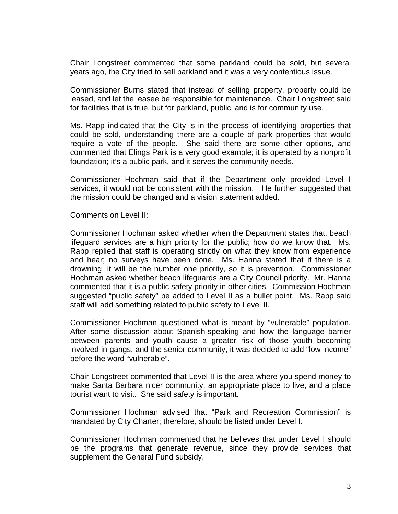Chair Longstreet commented that some parkland could be sold, but several years ago, the City tried to sell parkland and it was a very contentious issue.

Commissioner Burns stated that instead of selling property, property could be leased, and let the leasee be responsible for maintenance. Chair Longstreet said for facilities that is true, but for parkland, public land is for community use.

Ms. Rapp indicated that the City is in the process of identifying properties that could be sold, understanding there are a couple of park properties that would require a vote of the people. She said there are some other options, and commented that Elings Park is a very good example; it is operated by a nonprofit foundation; it's a public park, and it serves the community needs.

Commissioner Hochman said that if the Department only provided Level I services, it would not be consistent with the mission. He further suggested that the mission could be changed and a vision statement added.

### Comments on Level II:

Commissioner Hochman asked whether when the Department states that, beach lifeguard services are a high priority for the public; how do we know that. Ms. Rapp replied that staff is operating strictly on what they know from experience and hear; no surveys have been done. Ms. Hanna stated that if there is a drowning, it will be the number one priority, so it is prevention. Commissioner Hochman asked whether beach lifeguards are a City Council priority. Mr. Hanna commented that it is a public safety priority in other cities. Commission Hochman suggested "public safety" be added to Level II as a bullet point. Ms. Rapp said staff will add something related to public safety to Level II.

Commissioner Hochman questioned what is meant by "vulnerable" population. After some discussion about Spanish-speaking and how the language barrier between parents and youth cause a greater risk of those youth becoming involved in gangs, and the senior community, it was decided to add "low income" before the word "vulnerable".

Chair Longstreet commented that Level II is the area where you spend money to make Santa Barbara nicer community, an appropriate place to live, and a place tourist want to visit. She said safety is important.

Commissioner Hochman advised that "Park and Recreation Commission" is mandated by City Charter; therefore, should be listed under Level I.

Commissioner Hochman commented that he believes that under Level I should be the programs that generate revenue, since they provide services that supplement the General Fund subsidy.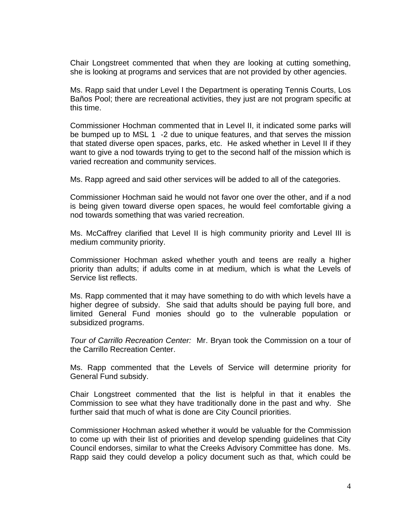Chair Longstreet commented that when they are looking at cutting something, she is looking at programs and services that are not provided by other agencies.

Ms. Rapp said that under Level I the Department is operating Tennis Courts, Los Baños Pool; there are recreational activities, they just are not program specific at this time.

Commissioner Hochman commented that in Level II, it indicated some parks will be bumped up to MSL 1 -2 due to unique features, and that serves the mission that stated diverse open spaces, parks, etc. He asked whether in Level II if they want to give a nod towards trying to get to the second half of the mission which is varied recreation and community services.

Ms. Rapp agreed and said other services will be added to all of the categories.

 Commissioner Hochman said he would not favor one over the other, and if a nod is being given toward diverse open spaces, he would feel comfortable giving a nod towards something that was varied recreation.

Ms. McCaffrey clarified that Level II is high community priority and Level III is medium community priority.

Commissioner Hochman asked whether youth and teens are really a higher priority than adults; if adults come in at medium, which is what the Levels of Service list reflects.

Ms. Rapp commented that it may have something to do with which levels have a higher degree of subsidy. She said that adults should be paying full bore, and limited General Fund monies should go to the vulnerable population or subsidized programs.

*Tour of Carrillo Recreation Center:* Mr. Bryan took the Commission on a tour of the Carrillo Recreation Center.

Ms. Rapp commented that the Levels of Service will determine priority for General Fund subsidy.

Chair Longstreet commented that the list is helpful in that it enables the Commission to see what they have traditionally done in the past and why. She further said that much of what is done are City Council priorities.

Commissioner Hochman asked whether it would be valuable for the Commission to come up with their list of priorities and develop spending guidelines that City Council endorses, similar to what the Creeks Advisory Committee has done. Ms. Rapp said they could develop a policy document such as that, which could be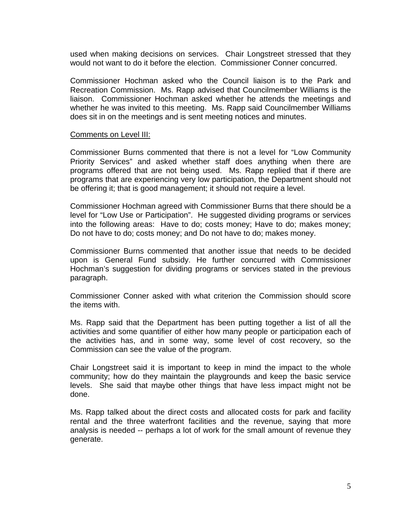used when making decisions on services. Chair Longstreet stressed that they would not want to do it before the election. Commissioner Conner concurred.

Commissioner Hochman asked who the Council liaison is to the Park and Recreation Commission. Ms. Rapp advised that Councilmember Williams is the liaison. Commissioner Hochman asked whether he attends the meetings and whether he was invited to this meeting. Ms. Rapp said Councilmember Williams does sit in on the meetings and is sent meeting notices and minutes.

#### Comments on Level III:

 Commissioner Burns commented that there is not a level for "Low Community Priority Services" and asked whether staff does anything when there are programs offered that are not being used. Ms. Rapp replied that if there are programs that are experiencing very low participation, the Department should not be offering it; that is good management; it should not require a level.

Commissioner Hochman agreed with Commissioner Burns that there should be a level for "Low Use or Participation". He suggested dividing programs or services into the following areas: Have to do; costs money; Have to do; makes money; Do not have to do; costs money; and Do not have to do; makes money.

Commissioner Burns commented that another issue that needs to be decided upon is General Fund subsidy. He further concurred with Commissioner Hochman's suggestion for dividing programs or services stated in the previous paragraph.

Commissioner Conner asked with what criterion the Commission should score the items with.

Ms. Rapp said that the Department has been putting together a list of all the activities and some quantifier of either how many people or participation each of the activities has, and in some way, some level of cost recovery, so the Commission can see the value of the program.

Chair Longstreet said it is important to keep in mind the impact to the whole community; how do they maintain the playgrounds and keep the basic service levels. She said that maybe other things that have less impact might not be done.

Ms. Rapp talked about the direct costs and allocated costs for park and facility rental and the three waterfront facilities and the revenue, saying that more analysis is needed -- perhaps a lot of work for the small amount of revenue they generate.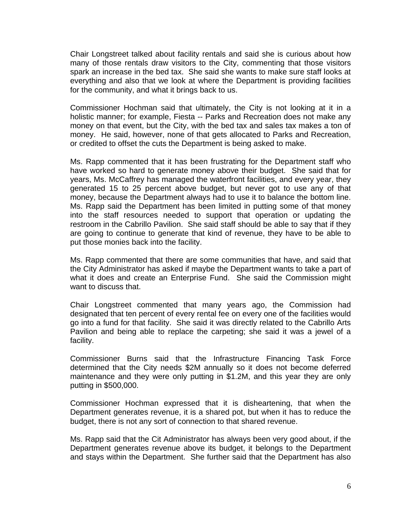Chair Longstreet talked about facility rentals and said she is curious about how many of those rentals draw visitors to the City, commenting that those visitors spark an increase in the bed tax. She said she wants to make sure staff looks at everything and also that we look at where the Department is providing facilities for the community, and what it brings back to us.

Commissioner Hochman said that ultimately, the City is not looking at it in a holistic manner; for example, Fiesta -- Parks and Recreation does not make any money on that event, but the City, with the bed tax and sales tax makes a ton of money. He said, however, none of that gets allocated to Parks and Recreation, or credited to offset the cuts the Department is being asked to make.

Ms. Rapp commented that it has been frustrating for the Department staff who have worked so hard to generate money above their budget. She said that for years, Ms. McCaffrey has managed the waterfront facilities, and every year, they generated 15 to 25 percent above budget, but never got to use any of that money, because the Department always had to use it to balance the bottom line. Ms. Rapp said the Department has been limited in putting some of that money into the staff resources needed to support that operation or updating the restroom in the Cabrillo Pavilion. She said staff should be able to say that if they are going to continue to generate that kind of revenue, they have to be able to put those monies back into the facility.

Ms. Rapp commented that there are some communities that have, and said that the City Administrator has asked if maybe the Department wants to take a part of what it does and create an Enterprise Fund. She said the Commission might want to discuss that.

Chair Longstreet commented that many years ago, the Commission had designated that ten percent of every rental fee on every one of the facilities would go into a fund for that facility. She said it was directly related to the Cabrillo Arts Pavilion and being able to replace the carpeting; she said it was a jewel of a facility.

Commissioner Burns said that the Infrastructure Financing Task Force determined that the City needs \$2M annually so it does not become deferred maintenance and they were only putting in \$1.2M, and this year they are only putting in \$500,000.

Commissioner Hochman expressed that it is disheartening, that when the Department generates revenue, it is a shared pot, but when it has to reduce the budget, there is not any sort of connection to that shared revenue.

Ms. Rapp said that the Cit Administrator has always been very good about, if the Department generates revenue above its budget, it belongs to the Department and stays within the Department. She further said that the Department has also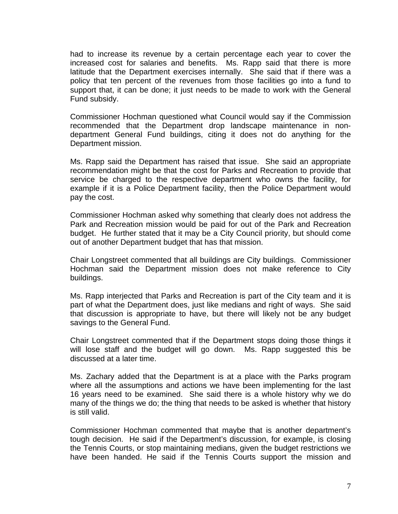had to increase its revenue by a certain percentage each year to cover the increased cost for salaries and benefits. Ms. Rapp said that there is more latitude that the Department exercises internally. She said that if there was a policy that ten percent of the revenues from those facilities go into a fund to support that, it can be done; it just needs to be made to work with the General Fund subsidy.

Commissioner Hochman questioned what Council would say if the Commission recommended that the Department drop landscape maintenance in nondepartment General Fund buildings, citing it does not do anything for the Department mission.

Ms. Rapp said the Department has raised that issue. She said an appropriate recommendation might be that the cost for Parks and Recreation to provide that service be charged to the respective department who owns the facility, for example if it is a Police Department facility, then the Police Department would pay the cost.

Commissioner Hochman asked why something that clearly does not address the Park and Recreation mission would be paid for out of the Park and Recreation budget. He further stated that it may be a City Council priority, but should come out of another Department budget that has that mission.

Chair Longstreet commented that all buildings are City buildings. Commissioner Hochman said the Department mission does not make reference to City buildings.

Ms. Rapp interjected that Parks and Recreation is part of the City team and it is part of what the Department does, just like medians and right of ways. She said that discussion is appropriate to have, but there will likely not be any budget savings to the General Fund.

Chair Longstreet commented that if the Department stops doing those things it will lose staff and the budget will go down. Ms. Rapp suggested this be discussed at a later time.

Ms. Zachary added that the Department is at a place with the Parks program where all the assumptions and actions we have been implementing for the last 16 years need to be examined. She said there is a whole history why we do many of the things we do; the thing that needs to be asked is whether that history is still valid.

Commissioner Hochman commented that maybe that is another department's tough decision. He said if the Department's discussion, for example, is closing the Tennis Courts, or stop maintaining medians, given the budget restrictions we have been handed. He said if the Tennis Courts support the mission and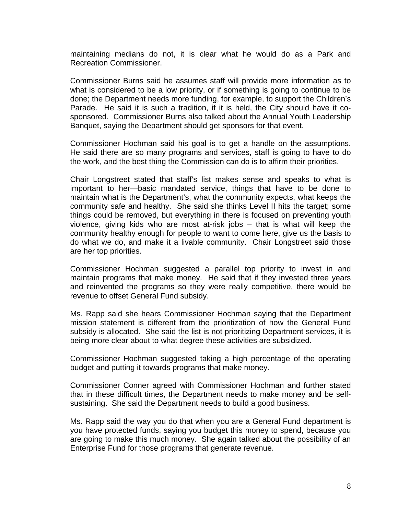maintaining medians do not, it is clear what he would do as a Park and Recreation Commissioner.

Commissioner Burns said he assumes staff will provide more information as to what is considered to be a low priority, or if something is going to continue to be done; the Department needs more funding, for example, to support the Children's Parade. He said it is such a tradition, if it is held, the City should have it cosponsored. Commissioner Burns also talked about the Annual Youth Leadership Banquet, saying the Department should get sponsors for that event.

Commissioner Hochman said his goal is to get a handle on the assumptions. He said there are so many programs and services, staff is going to have to do the work, and the best thing the Commission can do is to affirm their priorities.

Chair Longstreet stated that staff's list makes sense and speaks to what is important to her—basic mandated service, things that have to be done to maintain what is the Department's, what the community expects, what keeps the community safe and healthy. She said she thinks Level II hits the target; some things could be removed, but everything in there is focused on preventing youth violence, giving kids who are most at-risk jobs – that is what will keep the community healthy enough for people to want to come here, give us the basis to do what we do, and make it a livable community. Chair Longstreet said those are her top priorities.

 Commissioner Hochman suggested a parallel top priority to invest in and maintain programs that make money. He said that if they invested three years and reinvented the programs so they were really competitive, there would be revenue to offset General Fund subsidy.

 Ms. Rapp said she hears Commissioner Hochman saying that the Department mission statement is different from the prioritization of how the General Fund subsidy is allocated. She said the list is not prioritizing Department services, it is being more clear about to what degree these activities are subsidized.

 Commissioner Hochman suggested taking a high percentage of the operating budget and putting it towards programs that make money.

 Commissioner Conner agreed with Commissioner Hochman and further stated that in these difficult times, the Department needs to make money and be selfsustaining. She said the Department needs to build a good business.

 Ms. Rapp said the way you do that when you are a General Fund department is you have protected funds, saying you budget this money to spend, because you are going to make this much money. She again talked about the possibility of an Enterprise Fund for those programs that generate revenue.